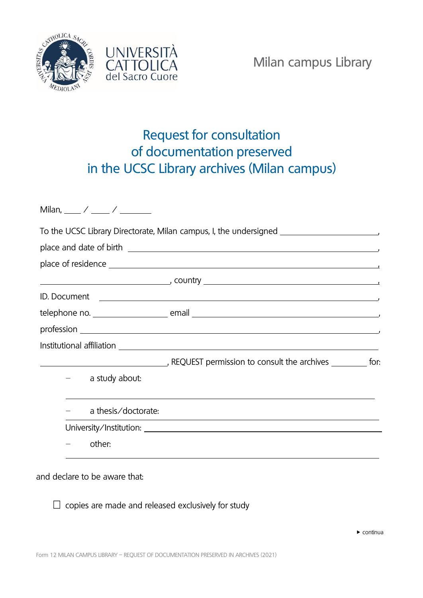



## Request for consultation of documentation preserved in the UCSC Library archives (Milan campus)

|  |                     | To the UCSC Library Directorate, Milan campus, I, the undersigned __________________________________                  |  |
|--|---------------------|-----------------------------------------------------------------------------------------------------------------------|--|
|  |                     | place and date of birth entity and the set of birth and the set of birth and the set of birth and the set of b        |  |
|  |                     |                                                                                                                       |  |
|  |                     |                                                                                                                       |  |
|  |                     |                                                                                                                       |  |
|  |                     |                                                                                                                       |  |
|  |                     |                                                                                                                       |  |
|  |                     |                                                                                                                       |  |
|  |                     | The REQUEST permission to consult the archives ___________ for:                                                       |  |
|  | a study about:      |                                                                                                                       |  |
|  | a thesis/doctorate: | <u> 1989 - Johann Stein, marwolaethau a bhann an t-Amhain ann an t-Amhain an t-Amhain an t-Amhain an t-Amhain an </u> |  |
|  |                     |                                                                                                                       |  |
|  | other:              |                                                                                                                       |  |

## and declare to be aware that:

 $\Box$  copies are made and released exclusively for study